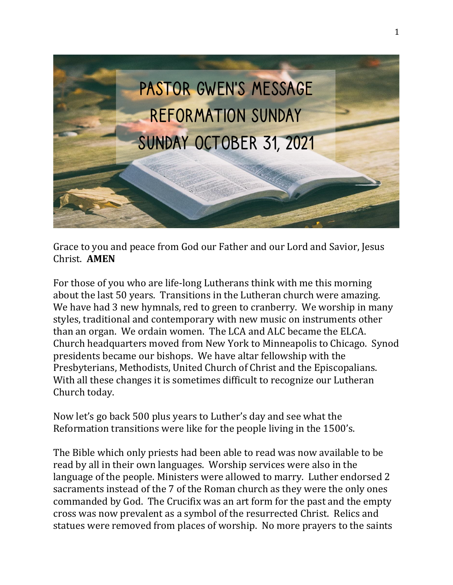

Grace to you and peace from God our Father and our Lord and Savior, Jesus Christ. **AMEN**

For those of you who are life-long Lutherans think with me this morning about the last 50 years. Transitions in the Lutheran church were amazing. We have had 3 new hymnals, red to green to cranberry. We worship in many styles, traditional and contemporary with new music on instruments other than an organ. We ordain women. The LCA and ALC became the ELCA. Church headquarters moved from New York to Minneapolis to Chicago. Synod presidents became our bishops. We have altar fellowship with the Presbyterians, Methodists, United Church of Christ and the Episcopalians. With all these changes it is sometimes difficult to recognize our Lutheran Church today.

Now let's go back 500 plus years to Luther's day and see what the Reformation transitions were like for the people living in the 1500's.

The Bible which only priests had been able to read was now available to be read by all in their own languages. Worship services were also in the language of the people. Ministers were allowed to marry. Luther endorsed 2 sacraments instead of the 7 of the Roman church as they were the only ones commanded by God. The Crucifix was an art form for the past and the empty cross was now prevalent as a symbol of the resurrected Christ. Relics and statues were removed from places of worship. No more prayers to the saints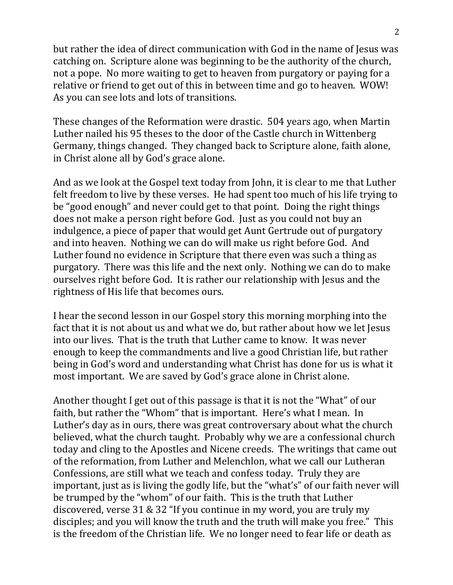but rather the idea of direct communication with God in the name of Jesus was catching on. Scripture alone was beginning to be the authority of the church, not a pope. No more waiting to get to heaven from purgatory or paying for a relative or friend to get out of this in between time and go to heaven. WOW! As you can see lots and lots of transitions.

These changes of the Reformation were drastic. 504 years ago, when Martin Luther nailed his 95 theses to the door of the Castle church in Wittenberg Germany, things changed. They changed back to Scripture alone, faith alone, in Christ alone all by God's grace alone.

And as we look at the Gospel text today from John, it is clear to me that Luther felt freedom to live by these verses. He had spent too much of his life trying to be "good enough" and never could get to that point. Doing the right things does not make a person right before God. Just as you could not buy an indulgence, a piece of paper that would get Aunt Gertrude out of purgatory and into heaven. Nothing we can do will make us right before God. And Luther found no evidence in Scripture that there even was such a thing as purgatory. There was this life and the next only. Nothing we can do to make ourselves right before God. It is rather our relationship with Jesus and the rightness of His life that becomes ours.

I hear the second lesson in our Gospel story this morning morphing into the fact that it is not about us and what we do, but rather about how we let Jesus into our lives. That is the truth that Luther came to know. It was never enough to keep the commandments and live a good Christian life, but rather being in God's word and understanding what Christ has done for us is what it most important. We are saved by God's grace alone in Christ alone.

Another thought I get out of this passage is that it is not the "What" of our faith, but rather the "Whom" that is important. Here's what I mean. In Luther's day as in ours, there was great controversary about what the church believed, what the church taught. Probably why we are a confessional church today and cling to the Apostles and Nicene creeds. The writings that came out of the reformation, from Luther and Melenchlon, what we call our Lutheran Confessions, are still what we teach and confess today. Truly they are important, just as is living the godly life, but the "what's" of our faith never will be trumped by the "whom" of our faith. This is the truth that Luther discovered, verse 31 & 32 "If you continue in my word, you are truly my disciples; and you will know the truth and the truth will make you free." This is the freedom of the Christian life. We no longer need to fear life or death as